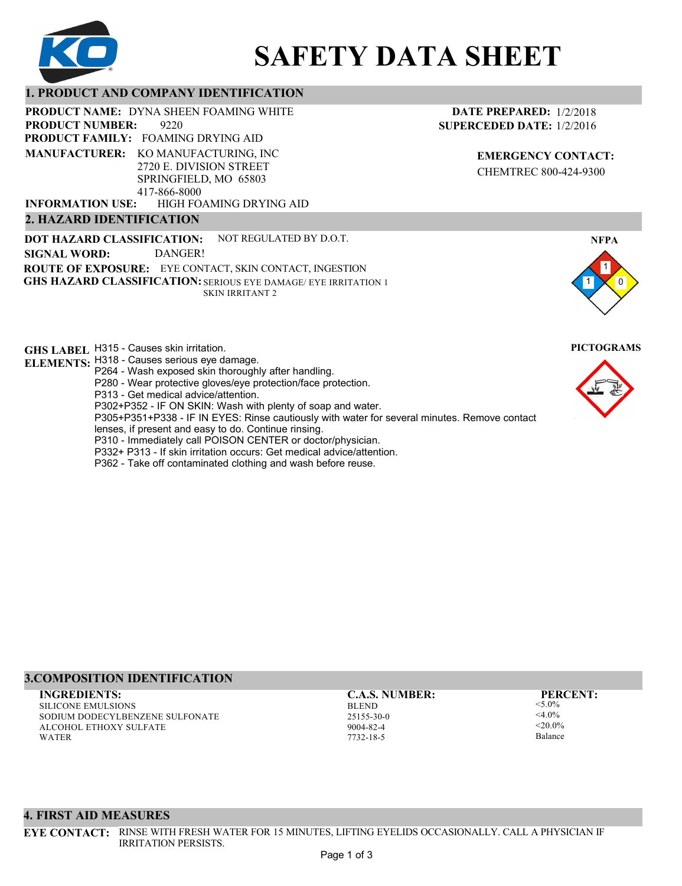

# **SAFETY DATA SHEET**

## **1. PRODUCT AND COMPANY IDENTIFICATION**

9220 PRODUCT NAME: DYNA SHEEN FOAMING WHITE **PRODUCT FAMILY: FOAMING DRYING AID** HIGH FOAMING DRYING AID **PRODUCT NUMBER: MANUFACTURER:** KO MANUFACTURING, INC 2720 E. DIVISION STREET SPRINGFIELD, MO 65803 417-866-8000 **INFORMATION USE:**

## **2. HAZARD IDENTIFICATION**

**DOT HAZARD CLASSIFICATION: GHS HAZARD CLASSIFICATION:** SERIOUS EYE DAMAGE/ EYE IRRITATION 1 **ROUTE OF EXPOSURE:** EYE CONTACT, SKIN CONTACT, INGESTION NOT REGULATED BY D.O.T. SKIN IRRITANT 2 **SIGNAL WORD:** DANGER!

**GHS LABEL**  H315 - Causes skin irritation. **PICTOGRAMS**

- **ELEMENTS:** H318 Causes serious eye damage. P264 - Wash exposed skin thoroughly after handling.
	- P280 Wear protective gloves/eye protection/face protection.
	- P313 Get medical advice/attention.
	- P302+P352 IF ON SKIN: Wash with plenty of soap and water.

P305+P351+P338 - IF IN EYES: Rinse cautiously with water for several minutes. Remove contact

- lenses, if present and easy to do. Continue rinsing.
- P310 Immediately call POISON CENTER or doctor/physician.
- P332+ P313 If skin irritation occurs: Get medical advice/attention.
- P362 Take off contaminated clothing and wash before reuse.

#### **DATE PREPARED:** 1/2/2018 **SUPERCEDED DATE:** 1/2/2016

**EMERGENCY CONTACT:** CHEMTREC 800-424-9300



### **3.COMPOSITION IDENTIFICATION**

SILICONE EMULSIONS SODIUM DODECYLBENZENE SULFONATE ALCOHOL ETHOXY SULFATE WATER **INGREDIENTS: C.A.S. NUMBER: PERCENT:**

BLEND 25155-30-0 9004-82-4 7732-18-5

<5.0%  $<$ 4.0%  $-20.094$ Balance

#### **4. FIRST AID MEASURES**

**EYE CONTACT:** RINSE WITH FRESH WATER FOR 15 MINUTES, LIFTING EYELIDS OCCASIONALLY. CALL A PHYSICIAN IF IRRITATION PERSISTS.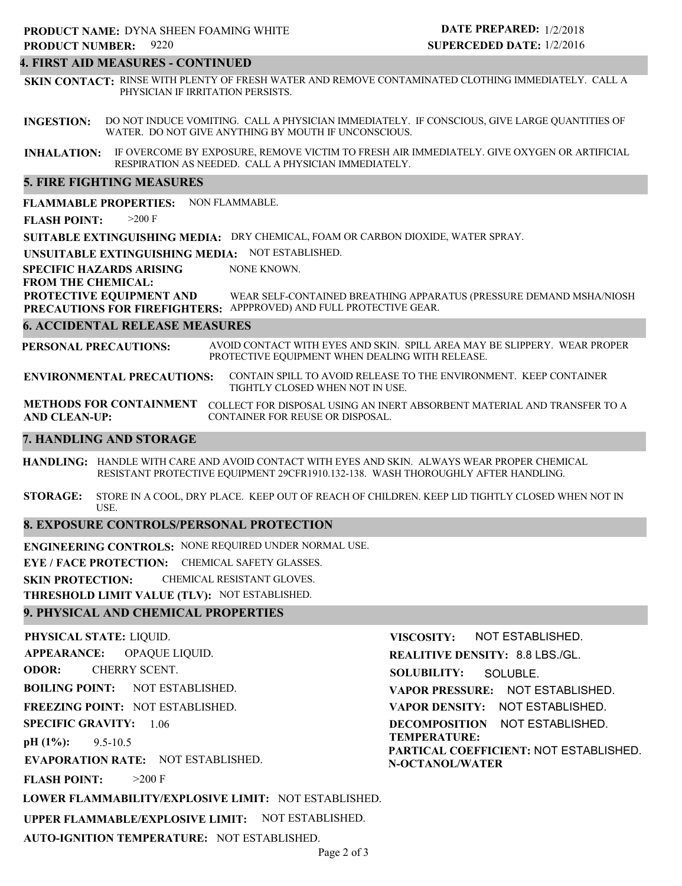# 9220 **PRODUCT NUMBER: PRODUCT NAME: DYNA SHEEN FOAMING WHITE**

#### **4. FIRST AID MEASURES - CONTINUED**

**SKIN CONTACT:** RINSE WITH PLENTY OF FRESH WATER AND REMOVE CONTAMINATED CLOTHING IMMEDIATELY. CALL A PHYSICIAN IF IRRITATION PERSISTS.

**INGESTION:** DO NOT INDUCE VOMITING. CALL A PHYSICIAN IMMEDIATELY. IF CONSCIOUS, GIVE LARGE QUANTITIES OF WATER. DO NOT GIVE ANYTHING BY MOUTH IF UNCONSCIOUS.

**INHALATION:** IF OVERCOME BY EXPOSURE, REMOVE VICTIM TO FRESH AIR IMMEDIATELY. GIVE OXYGEN OR ARTIFICIAL RESPIRATION AS NEEDED. CALL A PHYSICIAN IMMEDIATELY.

#### **5. FIRE FIGHTING MEASURES**

**FLAMMABLE PROPERTIES:** NON FLAMMABLE.

**FLASH POINT:** >200 F

**SUITABLE EXTINGUISHING MEDIA:** DRY CHEMICAL, FOAM OR CARBON DIOXIDE, WATER SPRAY.

**UNSUITABLE EXTINGUISHING MEDIA:** NOT ESTABLISHED.

**SPECIFIC HAZARDS ARISING** NONE KNOWN.

#### **FROM THE CHEMICAL:**

**PROTECTIVE EQUIPMENT AND PRECAUTIONS FOR FIREFIGHTERS:** APPPROVED) AND FULL PROTECTIVE GEAR. WEAR SELF-CONTAINED BREATHING APPARATUS (PRESSURE DEMAND MSHA/NIOSH

#### **6. ACCIDENTAL RELEASE MEASURES**

**PERSONAL PRECAUTIONS:** AVOID CONTACT WITH EYES AND SKIN. SPILL AREA MAY BE SLIPPERY. WEAR PROPER PROTECTIVE EQUIPMENT WHEN DEALING WITH RELEASE.

**ENVIRONMENTAL PRECAUTIONS:** CONTAIN SPILL TO AVOID RELEASE TO THE ENVIRONMENT. KEEP CONTAINER TIGHTLY CLOSED WHEN NOT IN USE.

**METHODS FOR CONTAINMENT** COLLECT FOR DISPOSAL USING AN INERT ABSORBENT MATERIAL AND TRANSFER TO A **AND CLEAN-UP:** CONTAINER FOR REUSE OR DISPOSAL.

#### **7. HANDLING AND STORAGE**

**HANDLING:** HANDLE WITH CARE AND AVOID CONTACT WITH EYES AND SKIN. ALWAYS WEAR PROPER CHEMICAL RESISTANT PROTECTIVE EQUIPMENT 29CFR1910.132-138. WASH THOROUGHLY AFTER HANDLING.

**STORAGE:** STORE IN A COOL, DRY PLACE. KEEP OUT OF REACH OF CHILDREN. KEEP LID TIGHTLY CLOSED WHEN NOT IN USE.

#### **8. EXPOSURE CONTROLS/PERSONAL PROTECTION**

**ENGINEERING CONTROLS:** NONE REQUIRED UNDER NORMAL USE.

**EYE / FACE PROTECTION:** CHEMICAL SAFETY GLASSES.

**SKIN PROTECTION:** CHEMICAL RESISTANT GLOVES.

**THRESHOLD LIMIT VALUE (TLV):** NOT ESTABLISHED.

#### **9. PHYSICAL AND CHEMICAL PROPERTIES**

**PHYSICAL STATE:** LIQUID. **APPEARANCE: ODOR: BOILING POINT:** NOT ESTABLISHED. **FREEZING POINT:** NOT ESTABLISHED. **SPECIFIC GRAVITY:** 1.06 **pH (1%): EVAPORATION RATE:** NOT ESTABLISHED. **FLASH POINT: LOWER FLAMMABILITY/EXPLOSIVE LIMIT:** NOT ESTABLISHED. **UPPER FLAMMABLE/EXPLOSIVE LIMIT:** NOT ESTABLISHED. 9.5-10.5  $>200$  F OPAQUE LIQUID. CHERRY SCENT. **VISCOSITY: REALITIVE DENSITY:** 8.8 LBS./GL. **SOLUBILITY: VAPOR PRESSURE:** NOT ESTABLISHED. **VAPOR DENSITY:** NOT ESTABLISHED. **DECOMPOSITION** NOT ESTABLISHED. **TEMPERATURE: PARTICAL COEFFICIENT:** NOT ESTABLISHED. **N-OCTANOL/WATER** NOT ESTABLISHED. SOLUBLE.

**AUTO-IGNITION TEMPERATURE:** NOT ESTABLISHED.